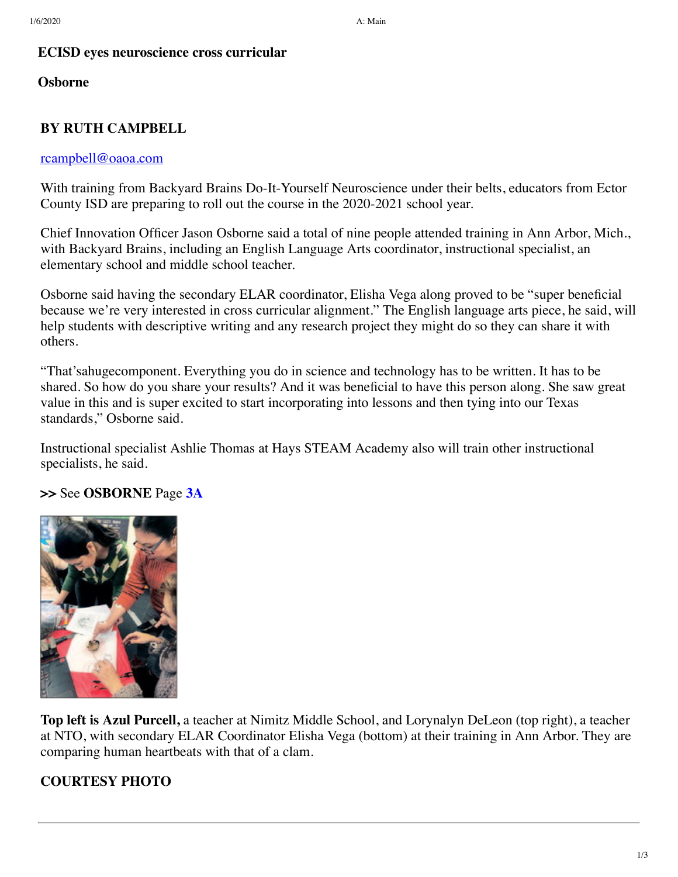#### **ECISD eyes neuroscience cross curricular**

#### **Osborne**

# **BY RUTH CAMPBELL**

#### [rcampbell@oaoa.com](mailto:rcampbell@oaoa.com)

With training from Backyard Brains Do-It-Yourself Neuroscience under their belts, educators from Ector County ISD are preparing to roll out the course in the 2020-2021 school year.

Chief Innovation Officer Jason Osborne said a total of nine people attended training in Ann Arbor, Mich., with Backyard Brains, including an English Language Arts coordinator, instructional specialist, an elementary school and middle school teacher.

Osborne said having the secondary ELAR coordinator, Elisha Vega along proved to be "super beneficial because we're very interested in cross curricular alignment." The English language arts piece, he said, will help students with descriptive writing and any research project they might do so they can share it with others.

"That'sahugecomponent. Everything you do in science and technology has to be written. It has to be shared. So how do you share your results? And it was beneficial to have this person along. She saw great value in this and is super excited to start incorporating into lessons and then tying into our Texas standards," Osborne said.

Instructional specialist Ashlie Thomas at Hays STEAM Academy also will train other instructional specialists, he said.

## **>>** See **OSBORNE** Page **[3A](javascript:gotoPage("A","A03");)**



**Top left is Azul Purcell,** a teacher at Nimitz Middle School, and Lorynalyn DeLeon (top right), a teacher at NTO, with secondary ELAR Coordinator Elisha Vega (bottom) at their training in Ann Arbor. They are comparing human heartbeats with that of a clam.

## **COURTESY PHOTO**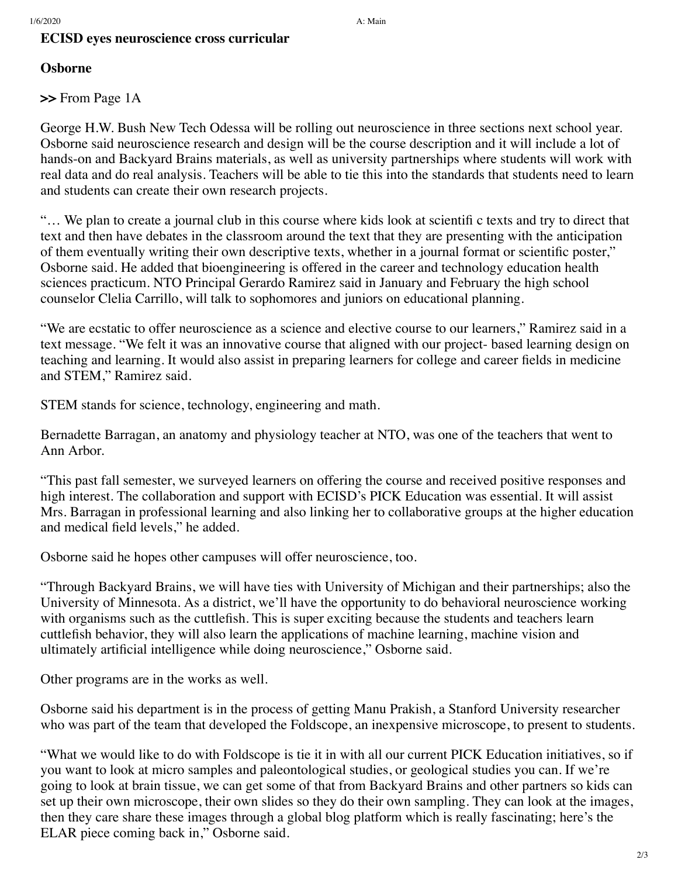## **ECISD eyes neuroscience cross curricular**

# **Osborne**

**>>** From Page 1A

George H.W. Bush New Tech Odessa will be rolling out neuroscience in three sections next school year. Osborne said neuroscience research and design will be the course description and it will include a lot of hands-on and Backyard Brains materials, as well as university partnerships where students will work with real data and do real analysis. Teachers will be able to tie this into the standards that students need to learn and students can create their own research projects.

"… We plan to create a journal club in this course where kids look at scientifi c texts and try to direct that text and then have debates in the classroom around the text that they are presenting with the anticipation of them eventually writing their own descriptive texts, whether in a journal format or scientific poster," Osborne said. He added that bioengineering is offered in the career and technology education health sciences practicum. NTO Principal Gerardo Ramirez said in January and February the high school counselor Clelia Carrillo, will talk to sophomores and juniors on educational planning.

"We are ecstatic to offer neuroscience as a science and elective course to our learners," Ramirez said in a text message. "We felt it was an innovative course that aligned with our project- based learning design on teaching and learning. It would also assist in preparing learners for college and career fields in medicine and STEM," Ramirez said.

STEM stands for science, technology, engineering and math.

Bernadette Barragan, an anatomy and physiology teacher at NTO, was one of the teachers that went to Ann Arbor.

"This past fall semester, we surveyed learners on offering the course and received positive responses and high interest. The collaboration and support with ECISD's PICK Education was essential. It will assist Mrs. Barragan in professional learning and also linking her to collaborative groups at the higher education and medical field levels," he added.

Osborne said he hopes other campuses will offer neuroscience, too.

"Through Backyard Brains, we will have ties with University of Michigan and their partnerships; also the University of Minnesota. As a district, we'll have the opportunity to do behavioral neuroscience working with organisms such as the cuttlefish. This is super exciting because the students and teachers learn cuttlefish behavior, they will also learn the applications of machine learning, machine vision and ultimately artificial intelligence while doing neuroscience," Osborne said.

Other programs are in the works as well.

Osborne said his department is in the process of getting Manu Prakish, a Stanford University researcher who was part of the team that developed the Foldscope, an inexpensive microscope, to present to students.

"What we would like to do with Foldscope is tie it in with all our current PICK Education initiatives, so if you want to look at micro samples and paleontological studies, or geological studies you can. If we're going to look at brain tissue, we can get some of that from Backyard Brains and other partners so kids can set up their own microscope, their own slides so they do their own sampling. They can look at the images, then they care share these images through a global blog platform which is really fascinating; here's the ELAR piece coming back in," Osborne said.